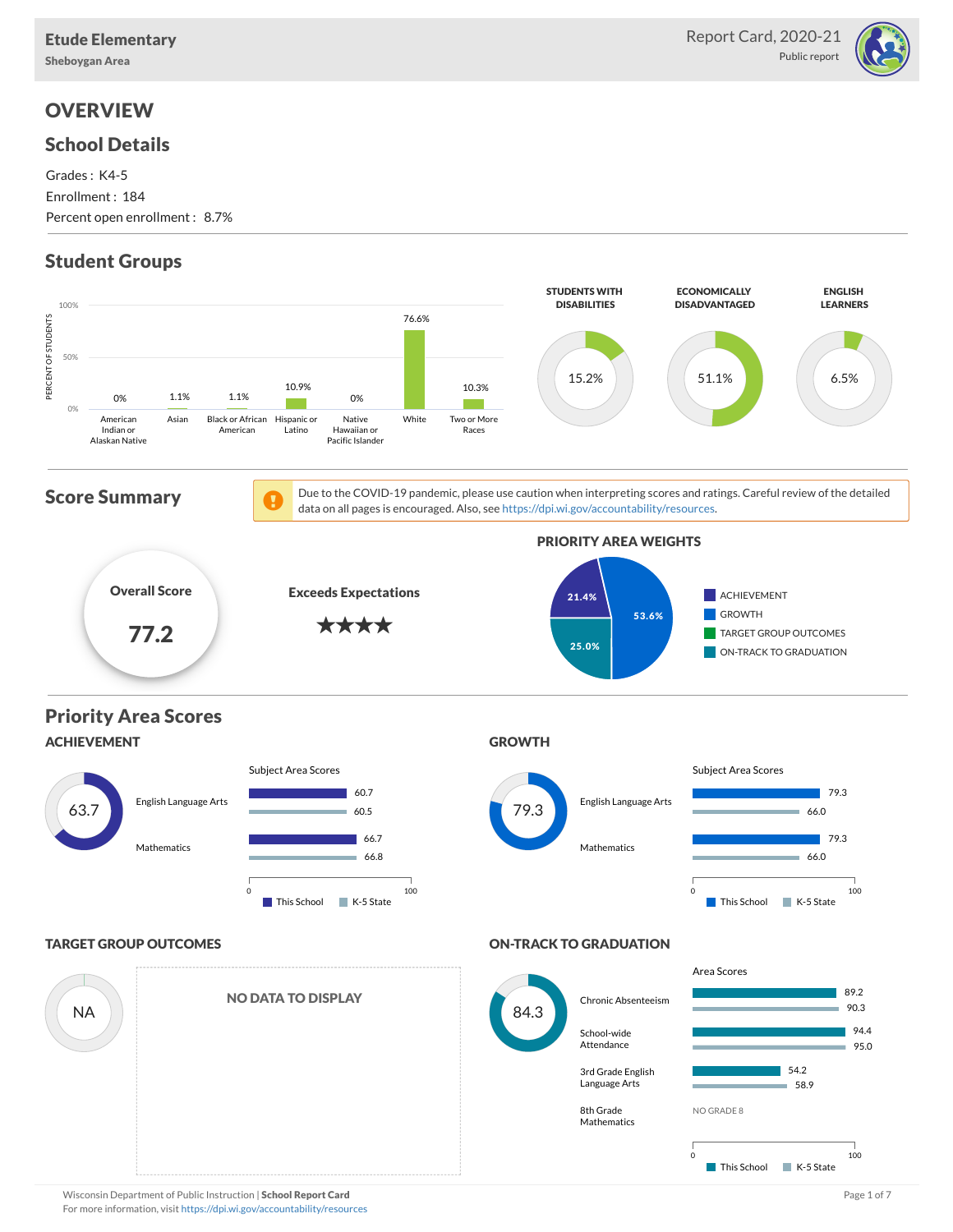Sheboygan Area

#### School Details

Grades : K4-5 Enrollment : 184 Percent open enrollment : 8.7%

# Student Groups



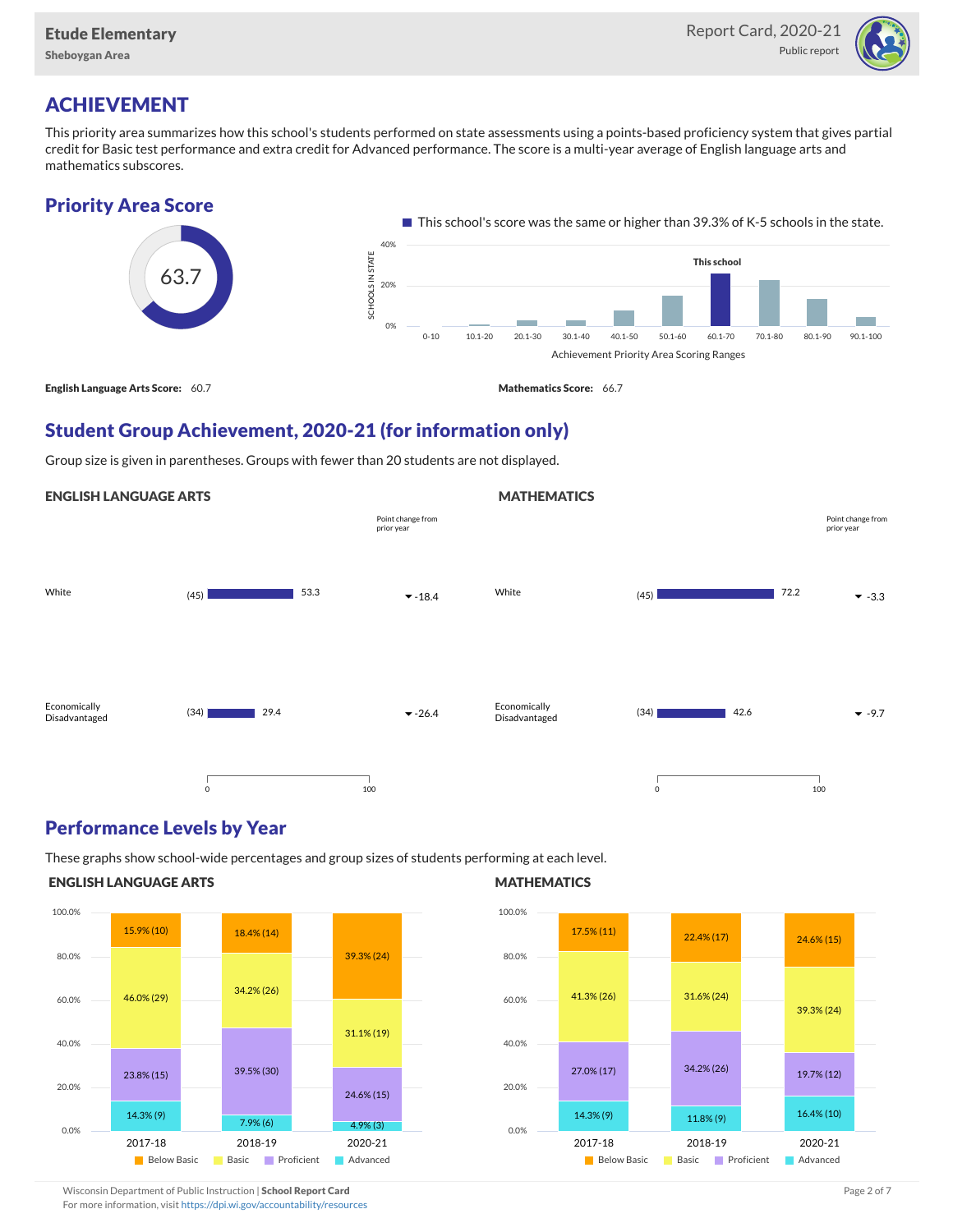

# ACHIEVEMENT

This priority area summarizes how this school's students performed on state assessments using a points-based proficiency system that gives partial credit for Basic test performance and extra credit for Advanced performance. The score is a multi-year average of English language arts and mathematics subscores.

## Priority Area Score



**MATHEMATICS** 

# Student Group Achievement, 2020-21 (for information only)

Group size is given in parentheses. Groups with fewer than 20 students are not displayed.

#### ENGLISH LANGUAGE ARTS



### Performance Levels by Year

These graphs show school-wide percentages and group sizes of students performing at each level.

#### ENGLISH LANGUAGE ARTS



#### **MATHEMATICS**



Wisconsin Department of Public Instruction | School Report Card Page 2 of 7 and 2008 and 2009 and 2 of 7 and 2 of 7

For more information, visit <https://dpi.wi.gov/accountability/resources>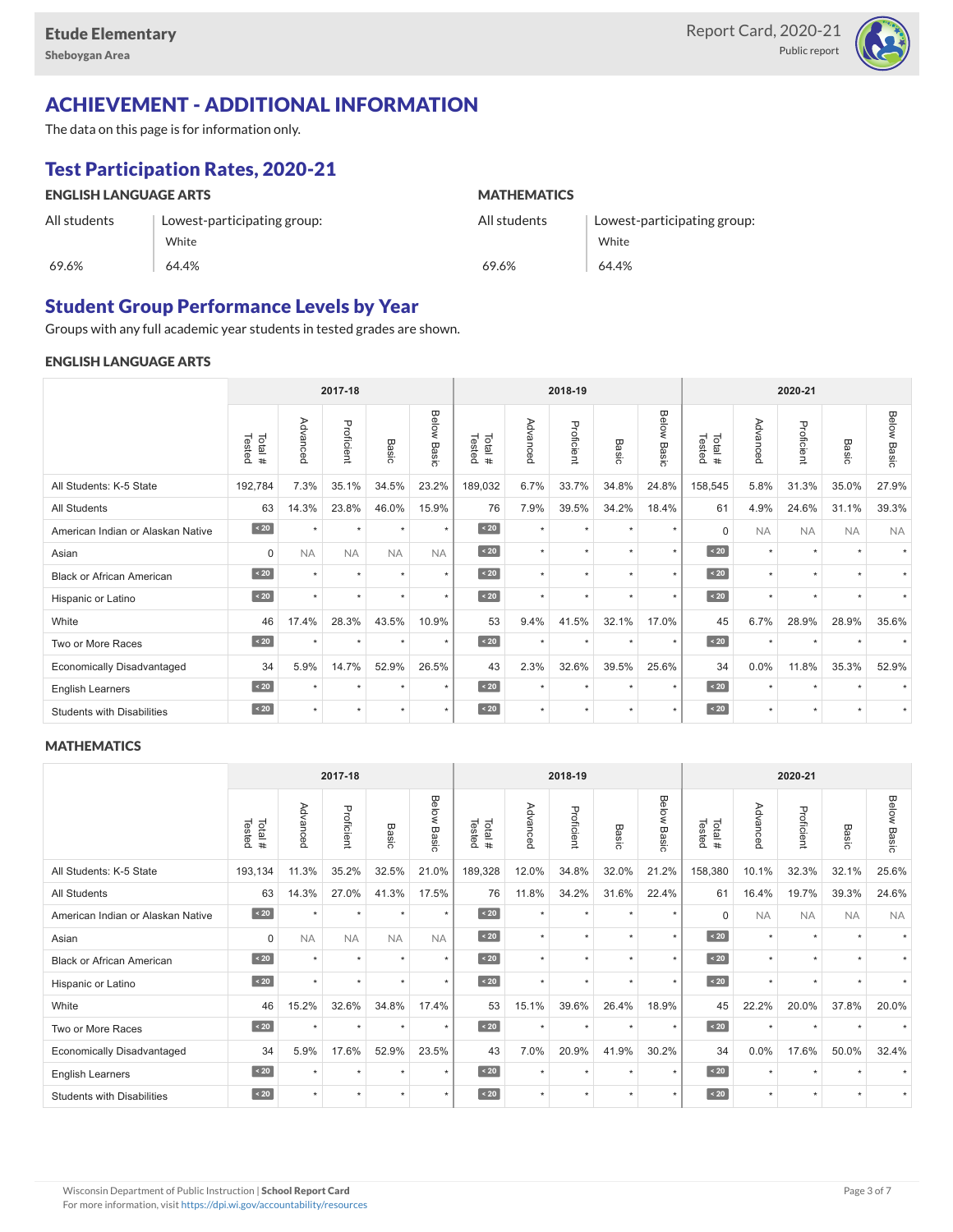

# ACHIEVEMENT - ADDITIONAL INFORMATION

The data on this page is for information only.

# Test Participation Rates, 2020-21

| <b>ENGLISH LANGUAGE ARTS</b> |                             | <b>MATHEMATICS</b> |                             |  |  |  |  |  |
|------------------------------|-----------------------------|--------------------|-----------------------------|--|--|--|--|--|
| All students                 | Lowest-participating group: | All students       | Lowest-participating group: |  |  |  |  |  |
|                              | White                       |                    | White                       |  |  |  |  |  |
| 69.6%                        | 64.4%                       | 69.6%              | 64.4%                       |  |  |  |  |  |

## Student Group Performance Levels by Year

Groups with any full academic year students in tested grades are shown.

#### ENGLISH LANGUAGE ARTS

|                                   |                  |           | 2017-18    |           |                | 2018-19<br>2020-21 |          |            |                      |                |                  |           |            |                      |                    |
|-----------------------------------|------------------|-----------|------------|-----------|----------------|--------------------|----------|------------|----------------------|----------------|------------------|-----------|------------|----------------------|--------------------|
|                                   | Tested<br>Total# | Advanced  | Proficient | Basic     | Below<br>Basic | Tested<br>Total#   | Advanced | Proficient | Basic                | Below<br>Basic | Tested<br>Total# | Advancec  | Proficient | Basic                | <b>Below Basic</b> |
| All Students: K-5 State           | 192,784          | 7.3%      | 35.1%      | 34.5%     | 23.2%          | 189,032            | 6.7%     | 33.7%      | 34.8%                | 24.8%          | 158,545          | 5.8%      | 31.3%      | 35.0%                | 27.9%              |
| <b>All Students</b>               | 63               | 14.3%     | 23.8%      | 46.0%     | 15.9%          | 76                 | 7.9%     | 39.5%      | 34.2%                | 18.4%          | 61               | 4.9%      | 24.6%      | 31.1%                | 39.3%              |
| American Indian or Alaskan Native | $\sim 20$        | $\ddot{}$ | $\star$    | $\star$   | $\star$        | $\angle 20$        | $\star$  | $\star$    | $\ddot{}$            | $\ddot{}$      | $\Omega$         | <b>NA</b> | <b>NA</b>  | <b>NA</b>            | <b>NA</b>          |
| Asian                             | $\mathbf 0$      | <b>NA</b> | <b>NA</b>  | <b>NA</b> | <b>NA</b>      | $\sim 20$          | $\star$  | $\star$    | $\star$              | $\star$        | $\angle 20$      | $\star$   | $\star$    | $\ddot{}$            |                    |
| <b>Black or African American</b>  | $\angle 20$      | $\ddot{}$ | $\star$    | ٠         | $\star$        | $\angle 20$        | $\star$  | $\star$    | $\ddot{\phantom{1}}$ | $\star$        | $\sim 20$        | $\star$   | $\star$    | $\ddot{\phantom{1}}$ |                    |
| Hispanic or Latino                | $\overline{20}$  | $\star$   | $\star$    | $\star$   | $\star$        | $\angle 20$        | $\star$  | $\star$    | $\star$              | $\star$        | $\angle 20$      | $\star$   | $\star$    | $\star$              |                    |
| White                             | 46               | 17.4%     | 28.3%      | 43.5%     | 10.9%          | 53                 | 9.4%     | 41.5%      | 32.1%                | 17.0%          | 45               | 6.7%      | 28.9%      | 28.9%                | 35.6%              |
| Two or More Races                 | $\sim 20$        | $\star$   | $\star$    | $\star$   | $\star$        | $\sim 20$          | $\star$  | $\star$    | $\ddot{}$            | $\star$        | $\sim 20$        | $\star$   | $\star$    |                      |                    |
| <b>Economically Disadvantaged</b> | 34               | 5.9%      | 14.7%      | 52.9%     | 26.5%          | 43                 | 2.3%     | 32.6%      | 39.5%                | 25.6%          | 34               | 0.0%      | 11.8%      | 35.3%                | 52.9%              |
| <b>English Learners</b>           | $\sim 20$        | $\star$   | $\star$    | $\star$   | $\star$        | $\angle 20$        | $\star$  | $\star$    | $\star$              | $\star$        | $\sim 20$        | $\star$   | $\star$    |                      |                    |
| <b>Students with Disabilities</b> | $\angle 20$      | $\star$   | $\star$    | $\star$   | $\star$        | $\angle 20$        | $\star$  | $\star$    |                      | $\star$        | $\leq 20$        | $\star$   | $\star$    | $\ddot{}$            | $\star$            |

#### **MATHEMATICS**

|                                   |                  |           | 2017-18    |           |                    | 2018-19<br>2020-21 |          |            |           |                |                  |           |            |                      |                    |
|-----------------------------------|------------------|-----------|------------|-----------|--------------------|--------------------|----------|------------|-----------|----------------|------------------|-----------|------------|----------------------|--------------------|
|                                   | Tested<br>Total# | Advanced  | Proficient | Basic     | <b>Below Basic</b> | Tested<br>Total#   | Advanced | Proficient | Basic     | Below<br>Basic | Tested<br>Total# | Advanced  | Proficient | Basic                | <b>Below Basic</b> |
| All Students: K-5 State           | 193,134          | 11.3%     | 35.2%      | 32.5%     | 21.0%              | 189,328            | 12.0%    | 34.8%      | 32.0%     | 21.2%          | 158,380          | 10.1%     | 32.3%      | 32.1%                | 25.6%              |
| All Students                      | 63               | 14.3%     | 27.0%      | 41.3%     | 17.5%              | 76                 | 11.8%    | 34.2%      | 31.6%     | 22.4%          | 61               | 16.4%     | 19.7%      | 39.3%                | 24.6%              |
| American Indian or Alaskan Native | $\angle 20$      | $\star$   | $\star$    | $\star$   | $\star$            | $\sim 20$          | $\star$  | $\star$    | $\star$   | $\star$        | $\Omega$         | <b>NA</b> | <b>NA</b>  | <b>NA</b>            | <b>NA</b>          |
| Asian                             | $\mathbf 0$      | <b>NA</b> | <b>NA</b>  | <b>NA</b> | <b>NA</b>          | $\angle 20$        | $\star$  | $\star$    | $\star$   | $\star$        | $\sim 20$        | $\star$   | $\star$    | $\ddot{}$            |                    |
| <b>Black or African American</b>  | $\leq 20$        | $\star$   | $\star$    | ٠         | $\star$            | $\angle 20$        | $\star$  | $\star$    | $\star$   | $\star$        | $\angle 20$      | $\star$   | $\star$    | $\ddot{\phantom{1}}$ |                    |
| Hispanic or Latino                | $\angle 20$      | $\star$   | $\star$    | $\star$   | $\star$            | $\angle 20$        | $\star$  | $\star$    | $\star$   | $\star$        | $\angle 20$      | $\star$   | $\star$    | $\ddot{}$            |                    |
| White                             | 46               | 15.2%     | 32.6%      | 34.8%     | 17.4%              | 53                 | 15.1%    | 39.6%      | 26.4%     | 18.9%          | 45               | 22.2%     | 20.0%      | 37.8%                | 20.0%              |
| Two or More Races                 | $\sim 20$        |           | $\star$    | $\star$   | $\star$            | $\sim 20$          | $\star$  | $\star$    | $\star$   | $\star$        | $\angle 20$      | $\star$   | $\star$    |                      |                    |
| <b>Economically Disadvantaged</b> | 34               | 5.9%      | 17.6%      | 52.9%     | 23.5%              | 43                 | 7.0%     | 20.9%      | 41.9%     | 30.2%          | 34               | 0.0%      | 17.6%      | 50.0%                | 32.4%              |
| <b>English Learners</b>           | $\sim 20$        | $\star$   | $\star$    | ٠         | $\star$            | $\sim 20$          | $\star$  | $\star$    | $\ddot{}$ | $\star$        | $\sim 20$        | $\star$   | $\star$    |                      |                    |
| <b>Students with Disabilities</b> | $\sim 20$        | $\star$   | $\star$    | $\star$   | $\star$            | $\sim 20$          | $\star$  | $\star$    | ٠         | $\star$        | $\sim 20$        | $\star$   | $\star$    | $\ddot{}$            | $\star$            |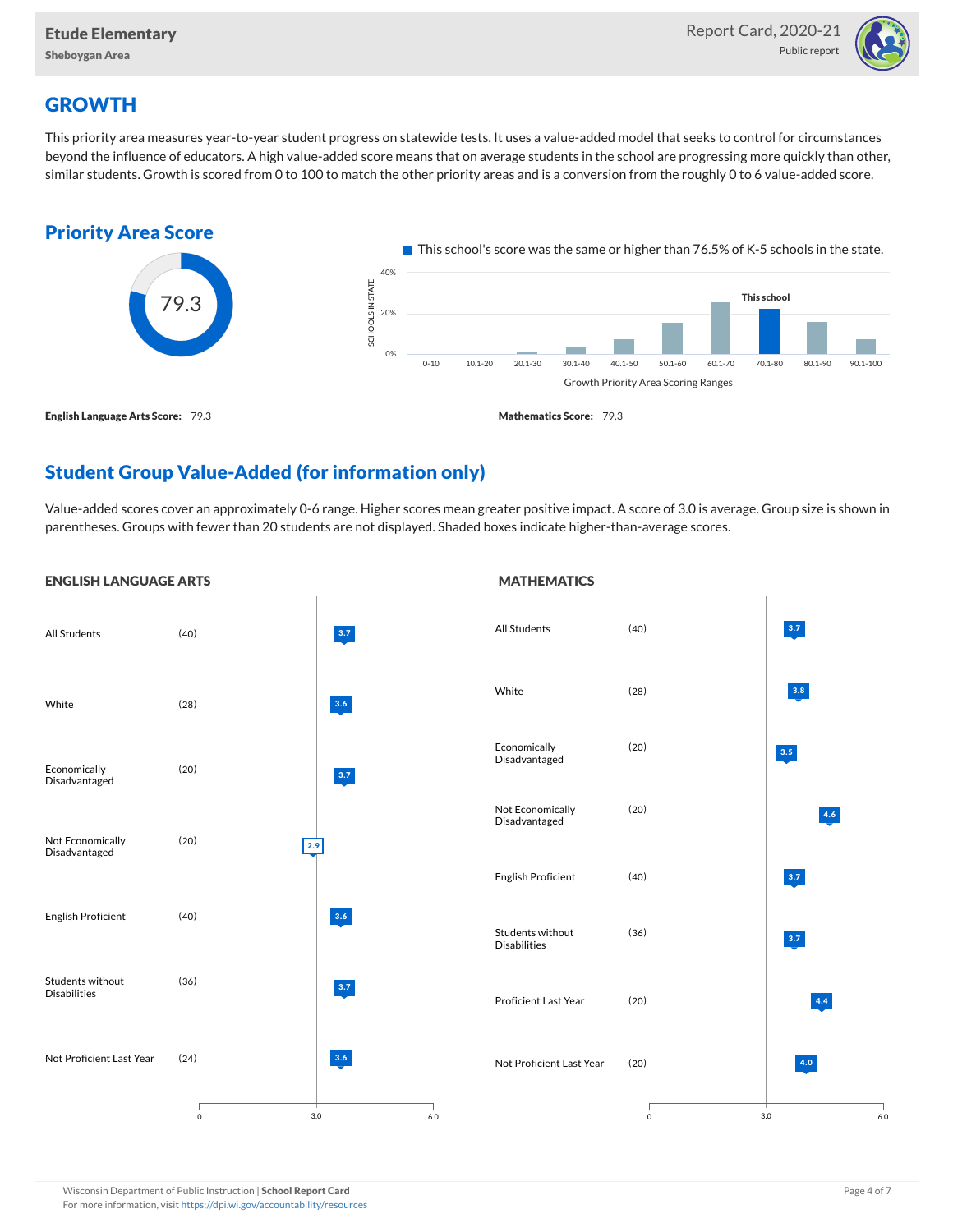

# **GROWTH**

This priority area measures year-to-year student progress on statewide tests. It uses a value-added model that seeks to control for circumstances beyond the influence of educators. A high value-added score means that on average students in the school are progressing more quickly than other, similar students. Growth is scored from 0 to 100 to match the other priority areas and is a conversion from the roughly 0 to 6 value-added score.



# Student Group Value-Added (for information only)

Value-added scores cover an approximately 0-6 range. Higher scores mean greater positive impact. A score of 3.0 is average. Group size is shown in parentheses. Groups with fewer than 20 students are not displayed. Shaded boxes indicate higher-than-average scores.

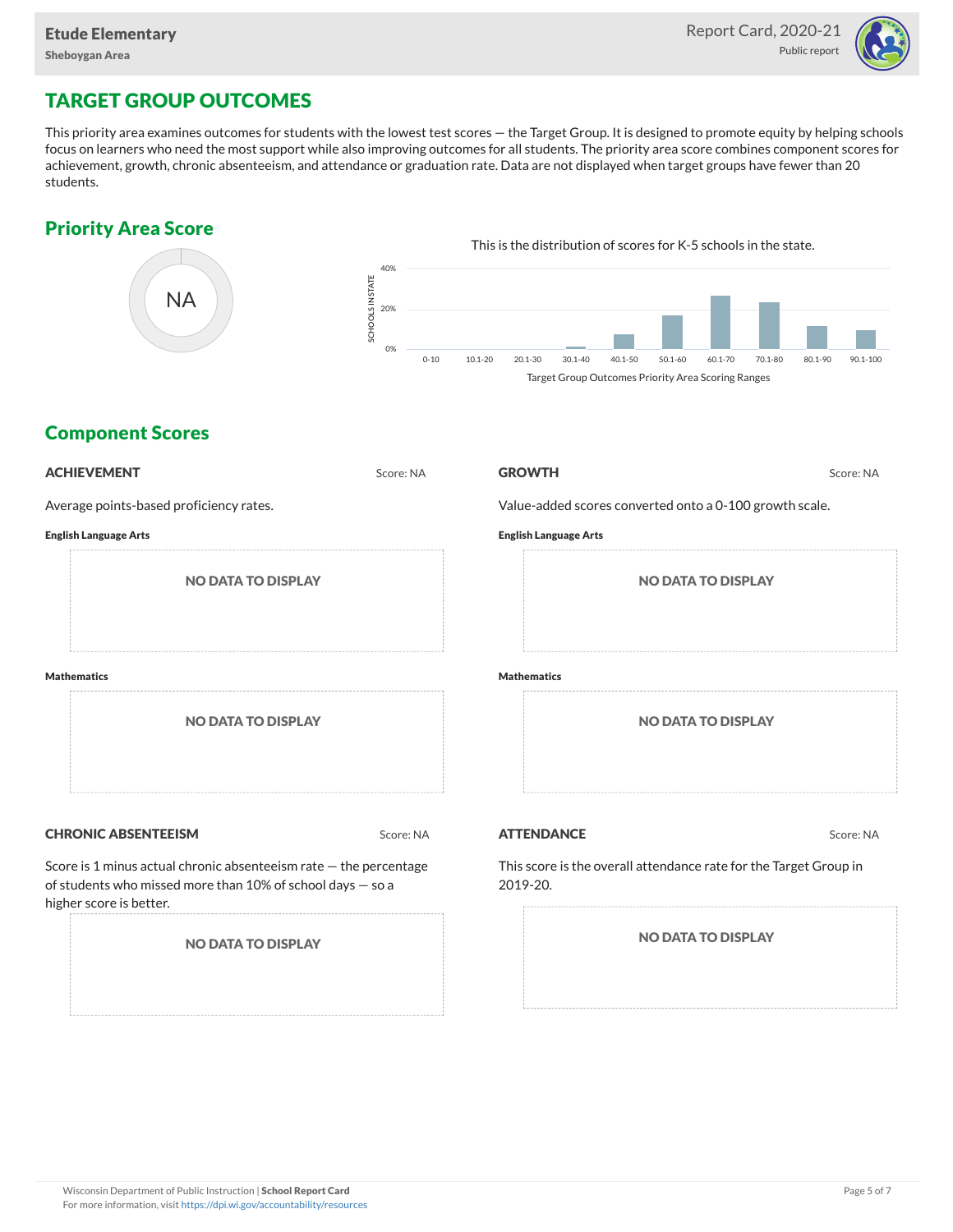

# TARGET GROUP OUTCOMES

This priority area examines outcomes for students with the lowest test scores — the Target Group. It is designed to promote equity by helping schools focus on learners who need the most support while also improving outcomes for all students. The priority area score combines component scores for achievement, growth, chronic absenteeism, and attendance or graduation rate. Data are not displayed when target groups have fewer than 20 students.

# Priority Area Score



# Component Scores

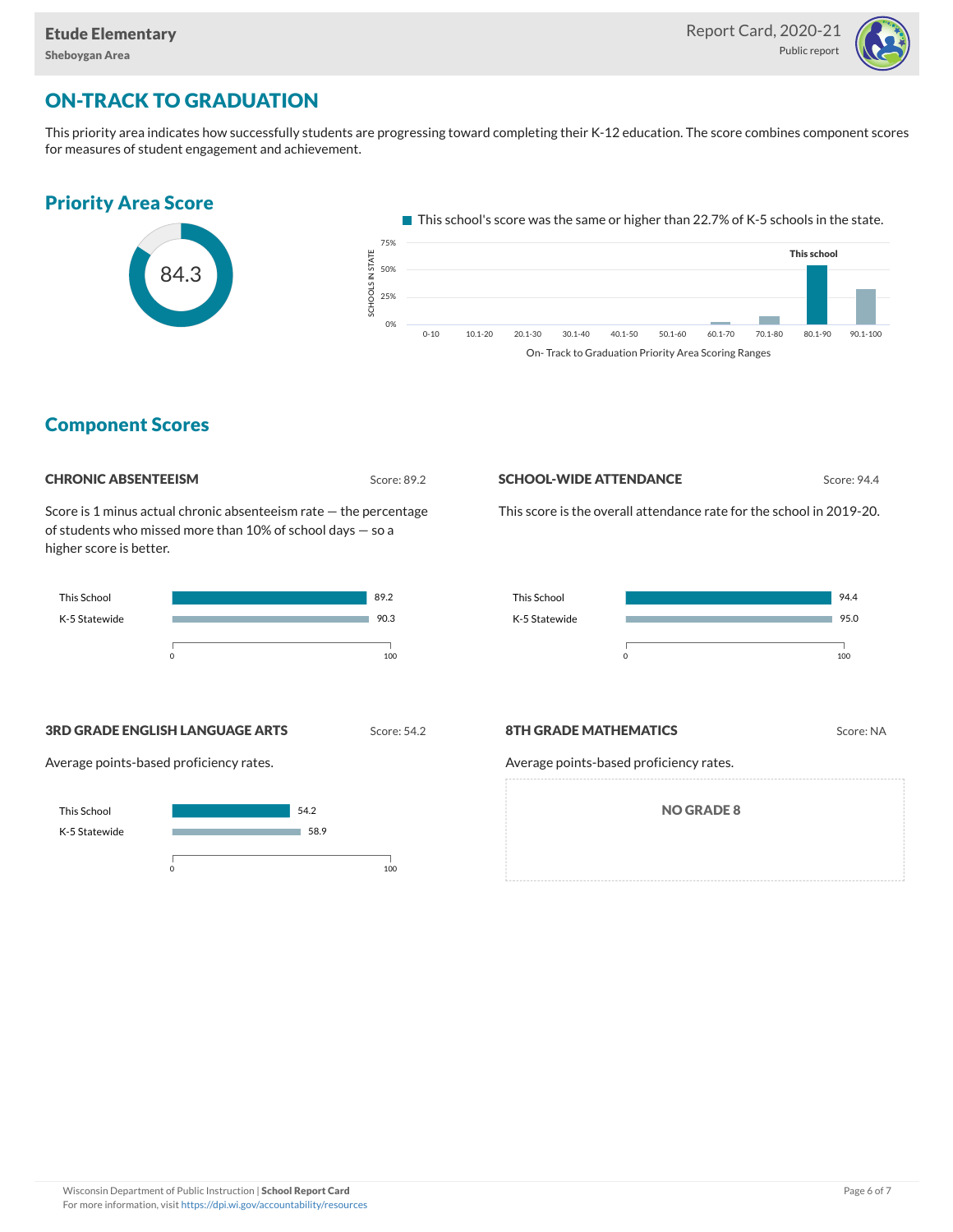

# ON-TRACK TO GRADUATION

This priority area indicates how successfully students are progressing toward completing their K-12 education. The score combines component scores for measures of student engagement and achievement.



## Component Scores



Score is 1 minus actual chronic absenteeism rate — the percentage of students who missed more than 10% of school days — so a higher score is better.



#### **SCHOOL-WIDE ATTENDANCE** Score: 94.4

This score is the overall attendance rate for the school in 2019-20.



**3RD GRADE ENGLISH LANGUAGE ARTS** Score: 54.2

Average points-based proficiency rates.



#### **8TH GRADE MATHEMATICS** Score: NA

Average points-based proficiency rates.

NO GRADE 8